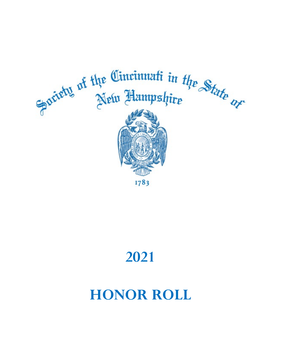

# **2021**

# **HONOR ROLL**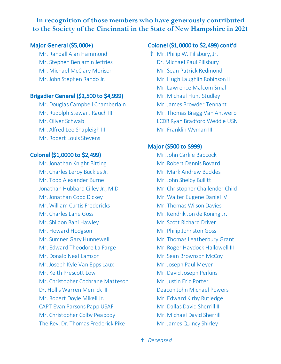# **In recognition of those members who have generously contributed to the Society of the Cincinnati in the State of New Hampshire in 2021**

Mr. Randall Alan Hammond **T** Mr. Philip W. Pillsbury, Jr. Mr. Stephen Benjamin Jeffries **Dr. Michael Paul Pillsbury** Mr. Michael McClary Morison Mr. Sean Patrick Redmond

## Brigadier General (\$2,500 to \$4,999) Mr. Michael Hunt Studley

- Mr. Douglas Campbell Chamberlain Mr. James Browder Tennant
- 
- 
- Mr. Alfred Lee Shapleigh III Mr. Franklin Wyman III
- Mr. Robert Louis Stevens

### Colonel (\$1,0000 to \$2,499) Mr. John Carlile Babcock

Mr. Jonathan Knight Bitting Mr. Robert Dennis Bovard Mr. Charles Leroy Buckles Jr. Mr. Mark Andrew Buckles Mr. Todd Alexander Burne Mr. John Shelby Bullitt Jonathan Hubbard Cilley Jr., M.D. Mr. Christopher Challender Child Mr. Jonathan Cobb Dickey Mr. Walter Eugene Daniel IV Mr. William Curtis Fredericks Mr. Thomas Wilson Davies Mr. Charles Lane Goss Mr. Kendrik Jon de Koning Jr. Mr. Shiidon Bahi Hawley Mr. Scott Richard Driver Mr. Howard Hodgson Mr. Philip Johnston Goss Mr. Sumner Gary Hunnewell Mr. Thomas Leatherbury Grant Mr. Edward Theodore La Farge Mr. Roger Haydock Hallowell III Mr. Donald Neal Lamson Mr. Sean Brownson McCoy Mr. Joseph Kyle Van Epps Laux Mr. Joseph Paul Meyer Mr. Keith Prescott Low Mr. David Joseph Perkins Mr. Christopher Cochrane Matteson Mr. Justin Eric Porter Dr. Hollis Warren Merrick III Deacon John Michael Powers Mr. Robert Doyle Mikell Jr. Mr. Edward Kirby Rutledge CAPT Evan Parsons Papp USAF Mr. Dallas David Sherrill II Mr. Christopher Colby Peabody Mr. Michael David Sherrill

### Major General (\$5,000+) Colonel (\$1,0000 to \$2,499) cont'd

Mr. John Stephen Rando Jr. Mr. Hugh Laughlin Robinson II Mr. Lawrence Malcom Small Mr. Rudolph Stewart Rauch III Mr. Thomas Bragg Van Antwerp Mr. Oliver Schwab **LCDR** Ryan Bradford Weddle USN

## Major (\$500 to \$999)

The Rev. Dr. Thomas Frederick Pike Mr. James Quincy Shirley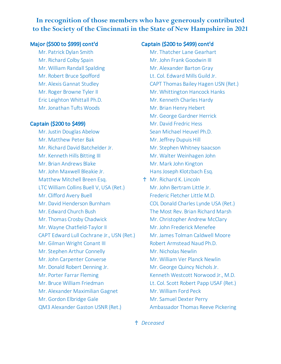# **In recognition of those members who have generously contributed to the Society of the Cincinnati in the State of New Hampshire in 2021**

Mr. Richard Colby Spain Mr. John Frank Goodwin III Mr. William Randall Spalding Mr. Alexander Barton Gray Eric Leighton Whittall Ph.D. Mr. Kenneth Charles Hardy Mr. Jonathan Tufts Woods Mr. Brian Henry Hebert

Mr. Justin Douglas Abelow Sean Michael Heuvel Ph.D. Mr. Matthew Peter Bak Mr. Jeffrey Dupuis Hill Mr. Richard David Batchelder Jr. Mr. Stephen Whitney Isaacson Mr. Kenneth Hills Bitting III Mr. Walter Weinhagen John Mr. Brian Andrews Blake Mr. Mark John Kington Mr. John Maxwell Bleakie Jr. Hans Joseph Klotzbach Esq. Matthew Mitchell Breen Esq. <br> **T** Mr. Richard K. Lincoln LTC William Collins Buell V, USA (Ret.) Mr. John Bertram Little Jr. Mr. Clifford Avery Buell Frederic Fletcher Little M.D. Mr. David Henderson Burnham COL Donald Charles Lynde USA (Ret.) Mr. Edward Church Bush The Most Rev. Brian Richard Marsh Mr. Thomas Crosby Chadwick Mr. Christopher Andrew McClary Mr. Wayne Chatfield-Taylor II Mr. John Frederick Menefee CAPT Edward Lull Cochrane Jr., USN (Ret.) Mr. James Tolman Caldwell Moore Mr. Gilman Wright Conant III Robert Armstead Naud Ph.D. Mr. Stephen Arthur Connelly Mr. Nicholas Newlin Mr. John Carpenter Converse Mr. William Ver Planck Newlin Mr. Donald Robert Denning Jr. Mr. George Quincy Nichols Jr. Mr. Porter Farrar Fleming Theorem Controller Kenneth Westcott Norwood Jr., M.D. Mr. Bruce William Friedman Lt. Col. Scott Robert Papp USAF (Ret.) Mr. Alexander Maximilian Gagnet Mr. William Ford Peck Mr. Gordon Elbridge Gale Mr. Samuel Dexter Perry

### Major (\$500 to \$999) cont'd Captain (\$200 to \$499) cont'd

Mr. Patrick Dylan Smith Mr. Thatcher Lane Gearhart Mr. Robert Bruce Spofford Lt. Col. Edward Mills Guild Jr. Mr. Alexis Gannat Studley CAPT Thomas Bailey Hagen USN (Ret.) Mr. Roger Browne Tyler II Mr. Whittington Hancock Hanks Mr. George Gardner Herrick Captain (\$200 to \$499) Mr. David Fredric Hess QM3 Alexander Gaston USNR (Ret.) Ambassador Thomas Reeve Pickering

♰ *Deceased*